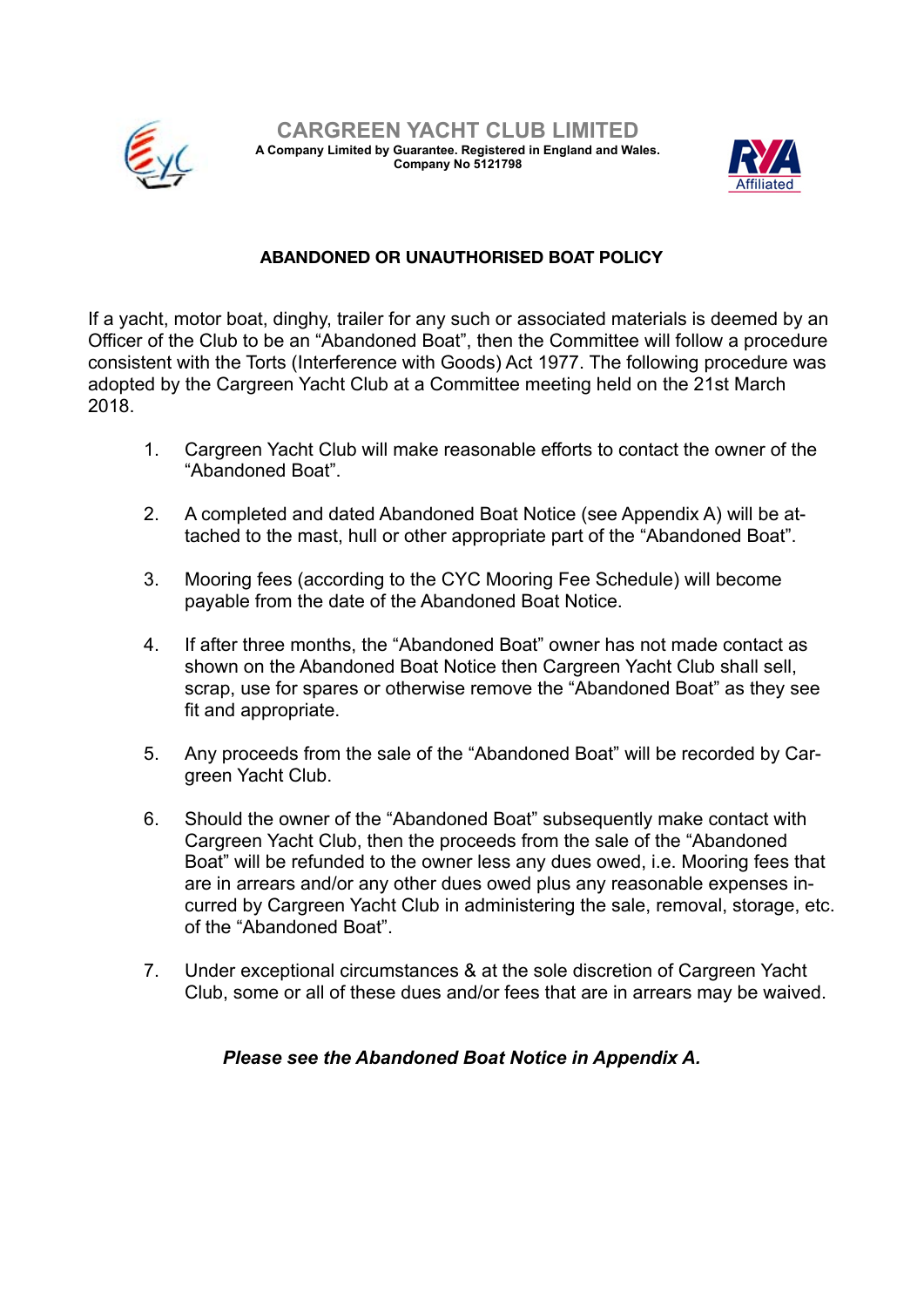



## **ABANDONED OR UNAUTHORISED BOAT POLICY**

If a yacht, motor boat, dinghy, trailer for any such or associated materials is deemed by an Officer of the Club to be an "Abandoned Boat", then the Committee will follow a procedure consistent with the Torts (Interference with Goods) Act 1977. The following procedure was adopted by the Cargreen Yacht Club at a Committee meeting held on the 21st March 2018.

- 1. Cargreen Yacht Club will make reasonable efforts to contact the owner of the "Abandoned Boat".
- 2. A completed and dated Abandoned Boat Notice (see Appendix A) will be attached to the mast, hull or other appropriate part of the "Abandoned Boat".
- 3. Mooring fees (according to the CYC Mooring Fee Schedule) will become payable from the date of the Abandoned Boat Notice.
- 4. If after three months, the "Abandoned Boat" owner has not made contact as shown on the Abandoned Boat Notice then Cargreen Yacht Club shall sell, scrap, use for spares or otherwise remove the "Abandoned Boat" as they see fit and appropriate.
- 5. Any proceeds from the sale of the "Abandoned Boat" will be recorded by Cargreen Yacht Club.
- 6. Should the owner of the "Abandoned Boat" subsequently make contact with Cargreen Yacht Club, then the proceeds from the sale of the "Abandoned Boat" will be refunded to the owner less any dues owed, i.e. Mooring fees that are in arrears and/or any other dues owed plus any reasonable expenses incurred by Cargreen Yacht Club in administering the sale, removal, storage, etc. of the "Abandoned Boat".
- 7. Under exceptional circumstances & at the sole discretion of Cargreen Yacht Club, some or all of these dues and/or fees that are in arrears may be waived.

## *Please see the Abandoned Boat Notice in Appendix A.*